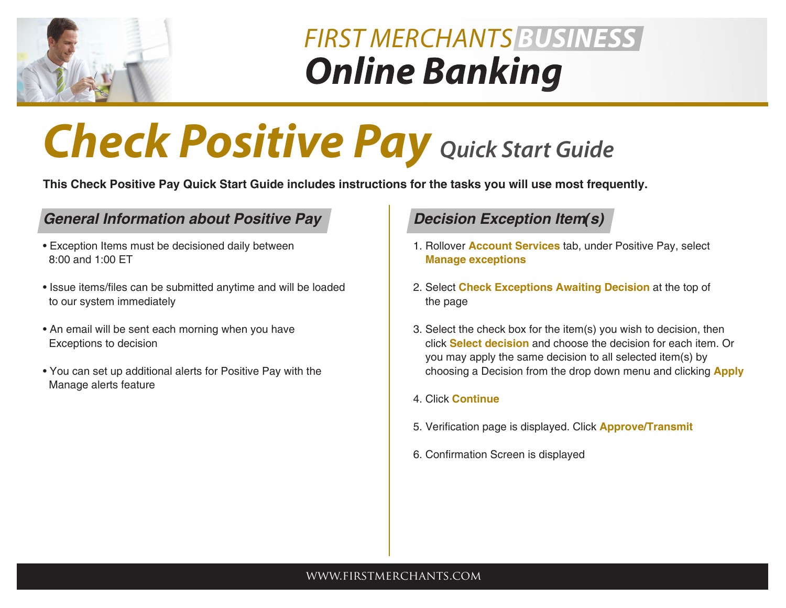

## *Online Banking FIRST MERCHANTS BUSINESS*

# *Check Positive Pay Quick Start Guide*

**This Check Positive Pay Quick Start Guide includes instructions for the tasks you will use most frequently.**

### *General Information about Positive Pay*

- Exception Items must be decisioned daily between 8:00 and 1:00 ET
- Issue items/files can be submitted anytime and will be loaded to our system immediately
- An email will be sent each morning when you have Exceptions to decision
- You can set up additional alerts for Positive Pay with the Manage alerts feature

### *Decision Exception Item(s)*

- 1. Rollover **Account Services** tab, under Positive Pay, select  **Manage exceptions**
- 2. Select **Check Exceptions Awaiting Decision** at the top of the page
- 3. Select the check box for the item(s) you wish to decision, then click **Select decision** and choose the decision for each item. Or you may apply the same decision to all selected item(s) by choosing a Decision from the drop down menu and clicking **Apply**
- 4. Click **Continue**
- 5. Verification page is displayed. Click **Approve/Transmit**
- 6. Confirmation Screen is displayed

#### www.firstmerchants.com